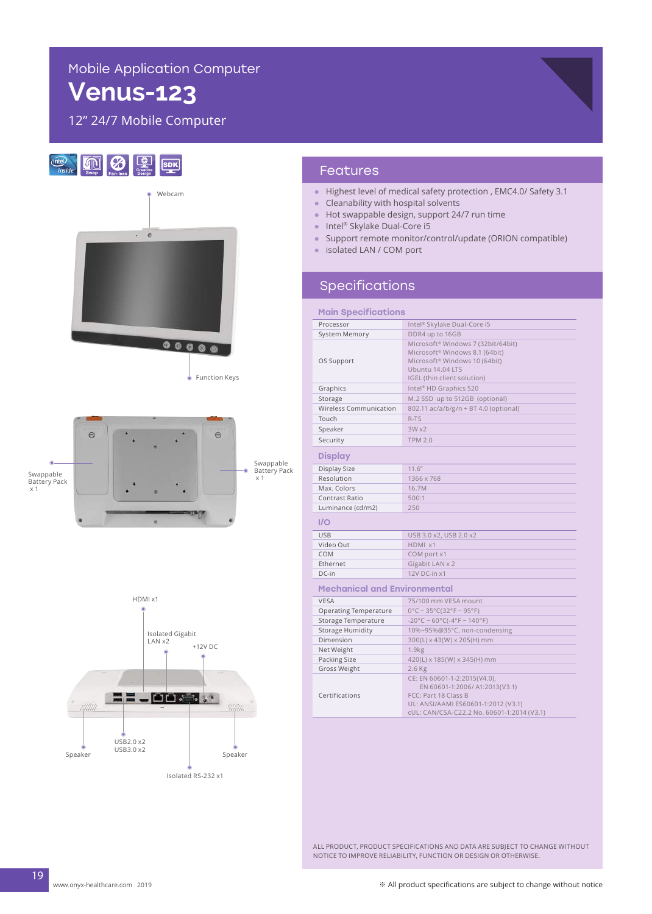# Mobile Application Computer

# **Venus-123**

12" 24/7 Mobile Computer



Function Keys



Swappable Battery Pack  $x_1$ 



#### Features

- Highest level of medical safety protection , EMC4.0/ Safety 3.1
- Cleanability with hospital solvents
- Hot swappable design, support 24/7 run time
- Intel® Skylake Dual-Core i5
- Support remote monitor/control/update (ORION compatible)
- isolated LAN / COM port

### Specifications

| <b>Main Specifications</b>          |                                                                                                                                                                                  |
|-------------------------------------|----------------------------------------------------------------------------------------------------------------------------------------------------------------------------------|
| Processor                           | Intel <sup>®</sup> Skylake Dual-Core i5                                                                                                                                          |
| <b>System Memory</b>                | DDR4 up to 16GB                                                                                                                                                                  |
| OS Support                          | Microsoft® Windows 7 (32bit/64bit)<br>Microsoft <sup>®</sup> Windows 8.1 (64bit)<br>Microsoft <sup>®</sup> Windows 10 (64bit)<br>Ubuntu 14.04 LTS<br>IGEL (thin client solution) |
| Graphics                            | Intel <sup>®</sup> HD Graphics 520                                                                                                                                               |
| Storage                             | M.2 SSD up to 512GB (optional)                                                                                                                                                   |
| Wireless Communication              | 802.11 ac/a/b/g/n + BT 4.0 (optional)                                                                                                                                            |
| Touch                               | R-TS                                                                                                                                                                             |
| Speaker                             | 3Wx2                                                                                                                                                                             |
| Security                            | <b>TPM 2.0</b>                                                                                                                                                                   |
| <b>Display</b>                      |                                                                                                                                                                                  |
| Display Size                        | 11.6''                                                                                                                                                                           |
| Resolution                          | 1366 x 768                                                                                                                                                                       |
| Max. Colors                         | 16.7M                                                                                                                                                                            |
| Contrast Ratio                      | 500:1                                                                                                                                                                            |
| Luminance (cd/m2)                   | 250                                                                                                                                                                              |
| I/O                                 |                                                                                                                                                                                  |
| <b>USB</b>                          | USB 3.0 x2, USB 2.0 x2                                                                                                                                                           |
| Video Out                           | HDMI x1                                                                                                                                                                          |
| COM                                 | COM port x1                                                                                                                                                                      |
| Ethernet                            | Gigabit LAN x 2                                                                                                                                                                  |
| DC-in                               | 12V DC-in x1                                                                                                                                                                     |
| <b>Mechanical and Environmental</b> |                                                                                                                                                                                  |
| <b>VESA</b>                         | 75/100 mm VESA mount                                                                                                                                                             |
| <b>Operating Temperature</b>        | $0^{\circ}$ C ~ 35°C(32°F ~ 95°F)                                                                                                                                                |
| Storage Temperature                 | $-20^{\circ}$ C ~ 60°C( $-4^{\circ}$ F ~ 140°F)                                                                                                                                  |
| Storage Humidity                    | 10%~95%@35°C, non-condensing                                                                                                                                                     |
| Dimension                           | 300(L) x 43(W) x 205(H) mm                                                                                                                                                       |
| Net Weight                          | 1.9kg                                                                                                                                                                            |
| Packing Size                        | 420(L) x 185(W) x 345(H) mm                                                                                                                                                      |
| Gross Weight                        | 2.6 Kg                                                                                                                                                                           |
| Certifications                      | CE: EN 60601-1-2:2015(V4.0),<br>EN 60601-1:2006/ A1:2013(V3.1)<br>FCC: Part 18 Class B<br>UL: ANSI/AAMI ES60601-1:2012 (V3.1)<br>cUL: CAN/CSA-C22.2 No. 60601-1:2014 (V3.1)      |

ALL PRODUCT, PRODUCT SPECIFICATIONS AND DATA ARE SUBJECT TO CHANGE WITHOUT NOTICE TO IMPROVE RELIABILITY, FUNCTION OR DESIGN OR OTHERWISE.

19